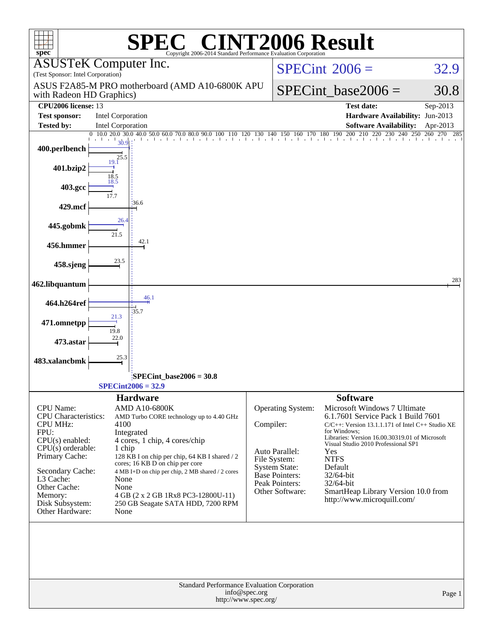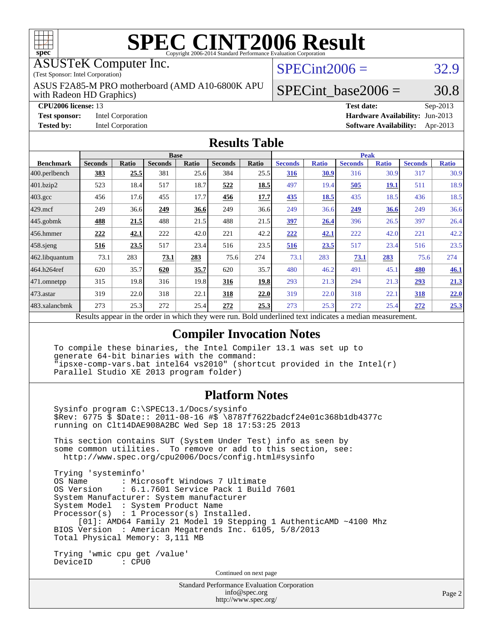

# **[SPEC CINT2006 Result](http://www.spec.org/auto/cpu2006/Docs/result-fields.html#SPECCINT2006Result)**

#### ASUSTeK Computer Inc.

(Test Sponsor: Intel Corporation)

with Radeon HD Graphics) ASUS F2A85-M PRO motherboard (AMD A10-6800K APU  $SPECint2006 = 32.9$  $SPECint2006 = 32.9$ 

**[Tested by:](http://www.spec.org/auto/cpu2006/Docs/result-fields.html#Testedby)** Intel Corporation **[Software Availability:](http://www.spec.org/auto/cpu2006/Docs/result-fields.html#SoftwareAvailability)** Apr-2013

SPECint base2006 =  $30.8$ 

**[CPU2006 license:](http://www.spec.org/auto/cpu2006/Docs/result-fields.html#CPU2006license)** 13 **[Test date:](http://www.spec.org/auto/cpu2006/Docs/result-fields.html#Testdate)** Sep-2013 **[Test sponsor:](http://www.spec.org/auto/cpu2006/Docs/result-fields.html#Testsponsor)** Intel Corporation **[Hardware Availability:](http://www.spec.org/auto/cpu2006/Docs/result-fields.html#HardwareAvailability)** Jun-2013

#### **[Results Table](http://www.spec.org/auto/cpu2006/Docs/result-fields.html#ResultsTable)**

|                                                                                                          |                |              | <b>Base</b>    |       |                |       |                |              |                | <b>Peak</b>  |                |              |
|----------------------------------------------------------------------------------------------------------|----------------|--------------|----------------|-------|----------------|-------|----------------|--------------|----------------|--------------|----------------|--------------|
| <b>Benchmark</b>                                                                                         | <b>Seconds</b> | <b>Ratio</b> | <b>Seconds</b> | Ratio | <b>Seconds</b> | Ratio | <b>Seconds</b> | <b>Ratio</b> | <b>Seconds</b> | <b>Ratio</b> | <b>Seconds</b> | <b>Ratio</b> |
| 400.perlbench                                                                                            | 383            | 25.5         | 381            | 25.6  | 384            | 25.5  | 316            | 30.9         | 316            | 30.9         | 317            | 30.9         |
| 401.bzip2                                                                                                | 523            | 18.4         | 517            | 18.7  | 522            | 18.5  | 497            | 19.4         | 505            | <u>19.1</u>  | 511            | 18.9         |
| $403.\mathrm{gcc}$                                                                                       | 456            | 17.6         | 455            | 17.7  | 456            | 17.7  | 435            | 18.5         | 435            | 18.5         | 436            | 18.5         |
| $429$ .mcf                                                                                               | 249            | 36.6         | 249            | 36.6  | 249            | 36.6  | 249            | 36.6         | 249            | 36.6         | 249            | 36.6         |
| $445$ .gobmk                                                                                             | 488            | 21.5         | 488            | 21.5  | 488            | 21.5  | 397            | 26.4         | 396            | 26.5         | 397            | 26.4         |
| $456.$ hmmer                                                                                             | 222            | 42.1         | 222            | 42.0  | 221            | 42.2  | 222            | 42.1         | 222            | 42.0         | 221            | 42.2         |
| $458$ .sjeng                                                                                             | 516            | 23.5         | 517            | 23.4  | 516            | 23.5  | 516            | 23.5         | 517            | 23.4         | 516            | 23.5         |
| 462.libquantum                                                                                           | 73.1           | 283          | 73.1           | 283   | 75.6           | 274   | 73.1           | 283          | 73.1           | 283          | 75.6           | 274          |
| 464.h264ref                                                                                              | 620            | 35.7         | 620            | 35.7  | 620            | 35.7  | 480            | 46.2         | 491            | 45.1         | 480            | 46.1         |
| 471.omnetpp                                                                                              | 315            | 19.8         | 316            | 19.8  | 316            | 19.8  | 293            | 21.3         | 294            | 21.3         | 293            | 21.3         |
| $473$ . astar                                                                                            | 319            | 22.0         | 318            | 22.1  | 318            | 22.0  | 319            | 22.0         | 318            | 22.1         | 318            | 22.0         |
| 483.xalancbmk                                                                                            | 273            | 25.3         | 272            | 25.4  | 272            | 25.3  | 273            | 25.3         | 272            | 25.4         | 272            | 25.3         |
| Results appear in the order in which they were run. Bold underlined text indicates a median measurement. |                |              |                |       |                |       |                |              |                |              |                |              |

#### **[Compiler Invocation Notes](http://www.spec.org/auto/cpu2006/Docs/result-fields.html#CompilerInvocationNotes)**

 To compile these binaries, the Intel Compiler 13.1 was set up to generate 64-bit binaries with the command: "ipsxe-comp-vars.bat intel64 vs2010" (shortcut provided in the Intel(r) Parallel Studio XE 2013 program folder)

### **[Platform Notes](http://www.spec.org/auto/cpu2006/Docs/result-fields.html#PlatformNotes)**

 Sysinfo program C:\SPEC13.1/Docs/sysinfo \$Rev: 6775 \$ \$Date:: 2011-08-16 #\$ \8787f7622badcf24e01c368b1db4377c running on Clt14DAE908A2BC Wed Sep 18 17:53:25 2013

 This section contains SUT (System Under Test) info as seen by some common utilities. To remove or add to this section, see: <http://www.spec.org/cpu2006/Docs/config.html#sysinfo>

 Trying 'systeminfo' : Microsoft Windows 7 Ultimate OS Version : 6.1.7601 Service Pack 1 Build 7601 System Manufacturer: System manufacturer System Model : System Product Name Processor(s) : 1 Processor(s) Installed. [01]: AMD64 Family 21 Model 19 Stepping 1 AuthenticAMD ~4100 Mhz BIOS Version : American Megatrends Inc. 6105, 5/8/2013 Total Physical Memory: 3,111 MB

 Trying 'wmic cpu get /value' DeviceID : CPU0

Continued on next page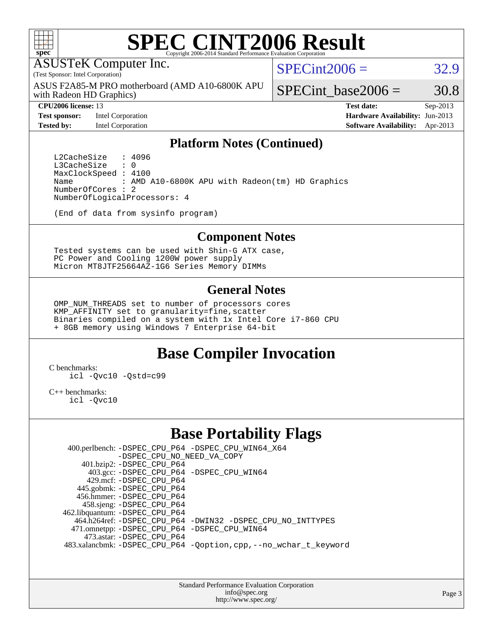

# **[SPEC CINT2006 Result](http://www.spec.org/auto/cpu2006/Docs/result-fields.html#SPECCINT2006Result)**

ASUSTeK Computer Inc.

(Test Sponsor: Intel Corporation)

with Radeon HD Graphics) ASUS F2A85-M PRO motherboard (AMD A10-6800K APU  $SPECint2006 = 32.9$  $SPECint2006 = 32.9$ 

**[Test sponsor:](http://www.spec.org/auto/cpu2006/Docs/result-fields.html#Testsponsor)** Intel Corporation **[Hardware Availability:](http://www.spec.org/auto/cpu2006/Docs/result-fields.html#HardwareAvailability)** Jun-2013

SPECint base2006 =  $30.8$ 

**[CPU2006 license:](http://www.spec.org/auto/cpu2006/Docs/result-fields.html#CPU2006license)** 13 **[Test date:](http://www.spec.org/auto/cpu2006/Docs/result-fields.html#Testdate)** Sep-2013 **[Tested by:](http://www.spec.org/auto/cpu2006/Docs/result-fields.html#Testedby)** Intel Corporation **[Software Availability:](http://www.spec.org/auto/cpu2006/Docs/result-fields.html#SoftwareAvailability)** Apr-2013

#### **[Platform Notes \(Continued\)](http://www.spec.org/auto/cpu2006/Docs/result-fields.html#PlatformNotes)**

L2CacheSize : 4096<br>L3CacheSize : 0 L3CacheSize MaxClockSpeed : 4100 Name : AMD A10-6800K APU with Radeon(tm) HD Graphics NumberOfCores : 2 NumberOfLogicalProcessors: 4

(End of data from sysinfo program)

#### **[Component Notes](http://www.spec.org/auto/cpu2006/Docs/result-fields.html#ComponentNotes)**

 Tested systems can be used with Shin-G ATX case, PC Power and Cooling 1200W power supply Micron MT8JTF25664AZ-1G6 Series Memory DIMMs

#### **[General Notes](http://www.spec.org/auto/cpu2006/Docs/result-fields.html#GeneralNotes)**

 OMP\_NUM\_THREADS set to number of processors cores KMP AFFINITY set to granularity=fine, scatter Binaries compiled on a system with 1x Intel Core i7-860 CPU + 8GB memory using Windows 7 Enterprise 64-bit

# **[Base Compiler Invocation](http://www.spec.org/auto/cpu2006/Docs/result-fields.html#BaseCompilerInvocation)**

[C benchmarks](http://www.spec.org/auto/cpu2006/Docs/result-fields.html#Cbenchmarks):

[icl -Qvc10](http://www.spec.org/cpu2006/results/res2014q3/cpu2006-20140630-30100.flags.html#user_CCbase_intel_icc_vc10_9607f3ecbcdf68042245f068e51b40c1) [-Qstd=c99](http://www.spec.org/cpu2006/results/res2014q3/cpu2006-20140630-30100.flags.html#user_CCbase_intel_compiler_c99_mode_1a3d110e3041b3ad4466830521bdad2a)

[C++ benchmarks:](http://www.spec.org/auto/cpu2006/Docs/result-fields.html#CXXbenchmarks)

[icl -Qvc10](http://www.spec.org/cpu2006/results/res2014q3/cpu2006-20140630-30100.flags.html#user_CXXbase_intel_icc_vc10_9607f3ecbcdf68042245f068e51b40c1)

# **[Base Portability Flags](http://www.spec.org/auto/cpu2006/Docs/result-fields.html#BasePortabilityFlags)**

 400.perlbench: [-DSPEC\\_CPU\\_P64](http://www.spec.org/cpu2006/results/res2014q3/cpu2006-20140630-30100.flags.html#b400.perlbench_basePORTABILITY_DSPEC_CPU_P64) [-DSPEC\\_CPU\\_WIN64\\_X64](http://www.spec.org/cpu2006/results/res2014q3/cpu2006-20140630-30100.flags.html#b400.perlbench_baseCPORTABILITY_DSPEC_CPU_WIN64_X64) [-DSPEC\\_CPU\\_NO\\_NEED\\_VA\\_COPY](http://www.spec.org/cpu2006/results/res2014q3/cpu2006-20140630-30100.flags.html#b400.perlbench_baseCPORTABILITY_DSPEC_CPU_NO_NEED_VA_COPY) 401.bzip2: [-DSPEC\\_CPU\\_P64](http://www.spec.org/cpu2006/results/res2014q3/cpu2006-20140630-30100.flags.html#suite_basePORTABILITY401_bzip2_DSPEC_CPU_P64) 403.gcc: [-DSPEC\\_CPU\\_P64](http://www.spec.org/cpu2006/results/res2014q3/cpu2006-20140630-30100.flags.html#suite_basePORTABILITY403_gcc_DSPEC_CPU_P64) [-DSPEC\\_CPU\\_WIN64](http://www.spec.org/cpu2006/results/res2014q3/cpu2006-20140630-30100.flags.html#b403.gcc_baseCPORTABILITY_DSPEC_CPU_WIN64) 429.mcf: [-DSPEC\\_CPU\\_P64](http://www.spec.org/cpu2006/results/res2014q3/cpu2006-20140630-30100.flags.html#suite_basePORTABILITY429_mcf_DSPEC_CPU_P64) 445.gobmk: [-DSPEC\\_CPU\\_P64](http://www.spec.org/cpu2006/results/res2014q3/cpu2006-20140630-30100.flags.html#suite_basePORTABILITY445_gobmk_DSPEC_CPU_P64) 456.hmmer: [-DSPEC\\_CPU\\_P64](http://www.spec.org/cpu2006/results/res2014q3/cpu2006-20140630-30100.flags.html#suite_basePORTABILITY456_hmmer_DSPEC_CPU_P64) 458.sjeng: [-DSPEC\\_CPU\\_P64](http://www.spec.org/cpu2006/results/res2014q3/cpu2006-20140630-30100.flags.html#suite_basePORTABILITY458_sjeng_DSPEC_CPU_P64) 462.libquantum: [-DSPEC\\_CPU\\_P64](http://www.spec.org/cpu2006/results/res2014q3/cpu2006-20140630-30100.flags.html#suite_basePORTABILITY462_libquantum_DSPEC_CPU_P64) 464.h264ref: [-DSPEC\\_CPU\\_P64](http://www.spec.org/cpu2006/results/res2014q3/cpu2006-20140630-30100.flags.html#suite_basePORTABILITY464_h264ref_DSPEC_CPU_P64) [-DWIN32](http://www.spec.org/cpu2006/results/res2014q3/cpu2006-20140630-30100.flags.html#b464.h264ref_baseCPORTABILITY_DWIN32) [-DSPEC\\_CPU\\_NO\\_INTTYPES](http://www.spec.org/cpu2006/results/res2014q3/cpu2006-20140630-30100.flags.html#b464.h264ref_baseCPORTABILITY_DSPEC_CPU_NO_INTTYPES) 471.omnetpp: [-DSPEC\\_CPU\\_P64](http://www.spec.org/cpu2006/results/res2014q3/cpu2006-20140630-30100.flags.html#suite_basePORTABILITY471_omnetpp_DSPEC_CPU_P64) [-DSPEC\\_CPU\\_WIN64](http://www.spec.org/cpu2006/results/res2014q3/cpu2006-20140630-30100.flags.html#b471.omnetpp_baseCXXPORTABILITY_DSPEC_CPU_WIN64) 473.astar: [-DSPEC\\_CPU\\_P64](http://www.spec.org/cpu2006/results/res2014q3/cpu2006-20140630-30100.flags.html#suite_basePORTABILITY473_astar_DSPEC_CPU_P64) 483.xalancbmk: [-DSPEC\\_CPU\\_P64](http://www.spec.org/cpu2006/results/res2014q3/cpu2006-20140630-30100.flags.html#suite_basePORTABILITY483_xalancbmk_DSPEC_CPU_P64) [-Qoption,cpp,--no\\_wchar\\_t\\_keyword](http://www.spec.org/cpu2006/results/res2014q3/cpu2006-20140630-30100.flags.html#user_baseCXXPORTABILITY483_xalancbmk_f-no_wchar_t_keyword_ec0ad4495a16b4e858bfcb29d949d25d)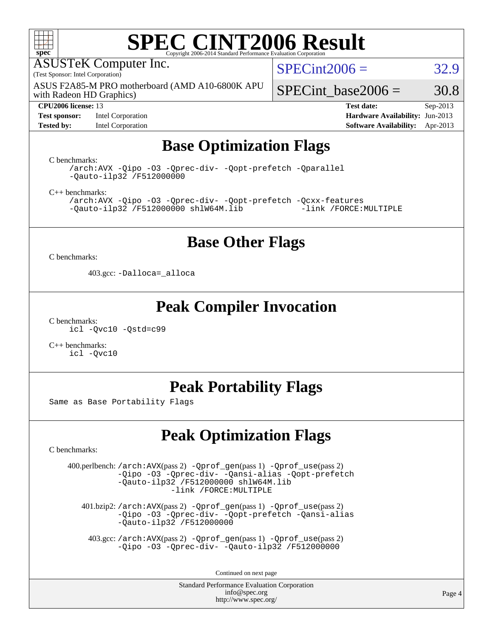

# **[SPEC CINT2006 Result](http://www.spec.org/auto/cpu2006/Docs/result-fields.html#SPECCINT2006Result)**

ASUSTeK Computer Inc.

(Test Sponsor: Intel Corporation)

with Radeon HD Graphics) ASUS F2A85-M PRO motherboard (AMD A10-6800K APU

#### **[CPU2006 license:](http://www.spec.org/auto/cpu2006/Docs/result-fields.html#CPU2006license)** 13 **[Test date:](http://www.spec.org/auto/cpu2006/Docs/result-fields.html#Testdate)** Sep-2013

**[Test sponsor:](http://www.spec.org/auto/cpu2006/Docs/result-fields.html#Testsponsor)** Intel Corporation **[Hardware Availability:](http://www.spec.org/auto/cpu2006/Docs/result-fields.html#HardwareAvailability)** Jun-2013

 $SPECint2006 = 32.9$  $SPECint2006 = 32.9$ 

SPECint base2006 =  $30.8$ 

**[Tested by:](http://www.spec.org/auto/cpu2006/Docs/result-fields.html#Testedby)** Intel Corporation **[Software Availability:](http://www.spec.org/auto/cpu2006/Docs/result-fields.html#SoftwareAvailability)** Apr-2013

# **[Base Optimization Flags](http://www.spec.org/auto/cpu2006/Docs/result-fields.html#BaseOptimizationFlags)**

[C benchmarks](http://www.spec.org/auto/cpu2006/Docs/result-fields.html#Cbenchmarks):

[/arch:AVX](http://www.spec.org/cpu2006/results/res2014q3/cpu2006-20140630-30100.flags.html#user_CCbase_f-archAVX_e8ab52e15dc7c67e0682fc680b79ed94) [-Qipo](http://www.spec.org/cpu2006/results/res2014q3/cpu2006-20140630-30100.flags.html#user_CCbase_f-Qipo) [-O3](http://www.spec.org/cpu2006/results/res2014q3/cpu2006-20140630-30100.flags.html#user_CCbase_f-O3) [-Qprec-div-](http://www.spec.org/cpu2006/results/res2014q3/cpu2006-20140630-30100.flags.html#user_CCbase_f-Qprec-div-) [-Qopt-prefetch](http://www.spec.org/cpu2006/results/res2014q3/cpu2006-20140630-30100.flags.html#user_CCbase_f-Qprefetch_37c211608666b9dff9380561f602f0a8) [-Qparallel](http://www.spec.org/cpu2006/results/res2014q3/cpu2006-20140630-30100.flags.html#user_CCbase_f-Qparallel) [-Qauto-ilp32](http://www.spec.org/cpu2006/results/res2014q3/cpu2006-20140630-30100.flags.html#user_CCbase_f-Qauto-ilp32) [/F512000000](http://www.spec.org/cpu2006/results/res2014q3/cpu2006-20140630-30100.flags.html#user_CCbase_set_stack_space_98438a10eb60aa5f35f4c79d9b9b27b1)

[C++ benchmarks:](http://www.spec.org/auto/cpu2006/Docs/result-fields.html#CXXbenchmarks)

[/arch:AVX](http://www.spec.org/cpu2006/results/res2014q3/cpu2006-20140630-30100.flags.html#user_CXXbase_f-archAVX_e8ab52e15dc7c67e0682fc680b79ed94) [-Qipo](http://www.spec.org/cpu2006/results/res2014q3/cpu2006-20140630-30100.flags.html#user_CXXbase_f-Qipo) [-O3](http://www.spec.org/cpu2006/results/res2014q3/cpu2006-20140630-30100.flags.html#user_CXXbase_f-O3) [-Qprec-div-](http://www.spec.org/cpu2006/results/res2014q3/cpu2006-20140630-30100.flags.html#user_CXXbase_f-Qprec-div-) [-Qopt-prefetch](http://www.spec.org/cpu2006/results/res2014q3/cpu2006-20140630-30100.flags.html#user_CXXbase_f-Qprefetch_37c211608666b9dff9380561f602f0a8) [-Qcxx-features](http://www.spec.org/cpu2006/results/res2014q3/cpu2006-20140630-30100.flags.html#user_CXXbase_f-Qcxx_features_dbf36c8a6dba956e22f1645e4dcd4d98)  $-Qauto-ilp32$  [/F512000000](http://www.spec.org/cpu2006/results/res2014q3/cpu2006-20140630-30100.flags.html#user_CXXbase_set_stack_space_98438a10eb60aa5f35f4c79d9b9b27b1) [shlW64M.lib](http://www.spec.org/cpu2006/results/res2014q3/cpu2006-20140630-30100.flags.html#user_CXXbase_SmartHeap64_c4f7f76711bdf8c0633a5c1edf6e5396)

### **[Base Other Flags](http://www.spec.org/auto/cpu2006/Docs/result-fields.html#BaseOtherFlags)**

[C benchmarks](http://www.spec.org/auto/cpu2006/Docs/result-fields.html#Cbenchmarks):

403.gcc: [-Dalloca=\\_alloca](http://www.spec.org/cpu2006/results/res2014q3/cpu2006-20140630-30100.flags.html#b403.gcc_baseEXTRA_CFLAGS_Dalloca_be3056838c12de2578596ca5467af7f3)

### **[Peak Compiler Invocation](http://www.spec.org/auto/cpu2006/Docs/result-fields.html#PeakCompilerInvocation)**

[C benchmarks](http://www.spec.org/auto/cpu2006/Docs/result-fields.html#Cbenchmarks): [icl -Qvc10](http://www.spec.org/cpu2006/results/res2014q3/cpu2006-20140630-30100.flags.html#user_CCpeak_intel_icc_vc10_9607f3ecbcdf68042245f068e51b40c1) [-Qstd=c99](http://www.spec.org/cpu2006/results/res2014q3/cpu2006-20140630-30100.flags.html#user_CCpeak_intel_compiler_c99_mode_1a3d110e3041b3ad4466830521bdad2a)

[C++ benchmarks:](http://www.spec.org/auto/cpu2006/Docs/result-fields.html#CXXbenchmarks) [icl -Qvc10](http://www.spec.org/cpu2006/results/res2014q3/cpu2006-20140630-30100.flags.html#user_CXXpeak_intel_icc_vc10_9607f3ecbcdf68042245f068e51b40c1)

# **[Peak Portability Flags](http://www.spec.org/auto/cpu2006/Docs/result-fields.html#PeakPortabilityFlags)**

Same as Base Portability Flags

# **[Peak Optimization Flags](http://www.spec.org/auto/cpu2006/Docs/result-fields.html#PeakOptimizationFlags)**

[C benchmarks](http://www.spec.org/auto/cpu2006/Docs/result-fields.html#Cbenchmarks):

 400.perlbench: [/arch:AVX](http://www.spec.org/cpu2006/results/res2014q3/cpu2006-20140630-30100.flags.html#user_peakPASS2_CFLAGSPASS2_LDFLAGS400_perlbench_f-archAVX_e8ab52e15dc7c67e0682fc680b79ed94)(pass 2) [-Qprof\\_gen](http://www.spec.org/cpu2006/results/res2014q3/cpu2006-20140630-30100.flags.html#user_peakPASS1_CFLAGSPASS1_LDFLAGS400_perlbench_Qprof_gen)(pass 1) [-Qprof\\_use](http://www.spec.org/cpu2006/results/res2014q3/cpu2006-20140630-30100.flags.html#user_peakPASS2_CFLAGSPASS2_LDFLAGS400_perlbench_Qprof_use)(pass 2) [-Qipo](http://www.spec.org/cpu2006/results/res2014q3/cpu2006-20140630-30100.flags.html#user_peakOPTIMIZE400_perlbench_f-Qipo) [-O3](http://www.spec.org/cpu2006/results/res2014q3/cpu2006-20140630-30100.flags.html#user_peakOPTIMIZE400_perlbench_f-O3) [-Qprec-div-](http://www.spec.org/cpu2006/results/res2014q3/cpu2006-20140630-30100.flags.html#user_peakOPTIMIZE400_perlbench_f-Qprec-div-) [-Qansi-alias](http://www.spec.org/cpu2006/results/res2014q3/cpu2006-20140630-30100.flags.html#user_peakOPTIMIZE400_perlbench_f-Qansi-alias) [-Qopt-prefetch](http://www.spec.org/cpu2006/results/res2014q3/cpu2006-20140630-30100.flags.html#user_peakOPTIMIZE400_perlbench_f-Qprefetch_37c211608666b9dff9380561f602f0a8) [-Qauto-ilp32](http://www.spec.org/cpu2006/results/res2014q3/cpu2006-20140630-30100.flags.html#user_peakCOPTIMIZE400_perlbench_f-Qauto-ilp32) [/F512000000](http://www.spec.org/cpu2006/results/res2014q3/cpu2006-20140630-30100.flags.html#user_peakEXTRA_LDFLAGS400_perlbench_set_stack_space_98438a10eb60aa5f35f4c79d9b9b27b1) [shlW64M.lib](http://www.spec.org/cpu2006/results/res2014q3/cpu2006-20140630-30100.flags.html#user_peakEXTRA_LIBS400_perlbench_SmartHeap64_c4f7f76711bdf8c0633a5c1edf6e5396)  [-link /FORCE:MULTIPLE](http://www.spec.org/cpu2006/results/res2014q3/cpu2006-20140630-30100.flags.html#user_peakLDOUT400_perlbench_link_force_multiple2_070fe330869edf77077b841074b8b0b6)

 401.bzip2: [/arch:AVX](http://www.spec.org/cpu2006/results/res2014q3/cpu2006-20140630-30100.flags.html#user_peakPASS2_CFLAGSPASS2_LDFLAGS401_bzip2_f-archAVX_e8ab52e15dc7c67e0682fc680b79ed94)(pass 2) [-Qprof\\_gen](http://www.spec.org/cpu2006/results/res2014q3/cpu2006-20140630-30100.flags.html#user_peakPASS1_CFLAGSPASS1_LDFLAGS401_bzip2_Qprof_gen)(pass 1) [-Qprof\\_use](http://www.spec.org/cpu2006/results/res2014q3/cpu2006-20140630-30100.flags.html#user_peakPASS2_CFLAGSPASS2_LDFLAGS401_bzip2_Qprof_use)(pass 2) [-Qipo](http://www.spec.org/cpu2006/results/res2014q3/cpu2006-20140630-30100.flags.html#user_peakOPTIMIZE401_bzip2_f-Qipo) [-O3](http://www.spec.org/cpu2006/results/res2014q3/cpu2006-20140630-30100.flags.html#user_peakOPTIMIZE401_bzip2_f-O3) [-Qprec-div-](http://www.spec.org/cpu2006/results/res2014q3/cpu2006-20140630-30100.flags.html#user_peakOPTIMIZE401_bzip2_f-Qprec-div-) [-Qopt-prefetch](http://www.spec.org/cpu2006/results/res2014q3/cpu2006-20140630-30100.flags.html#user_peakOPTIMIZE401_bzip2_f-Qprefetch_37c211608666b9dff9380561f602f0a8) [-Qansi-alias](http://www.spec.org/cpu2006/results/res2014q3/cpu2006-20140630-30100.flags.html#user_peakOPTIMIZE401_bzip2_f-Qansi-alias) [-Qauto-ilp32](http://www.spec.org/cpu2006/results/res2014q3/cpu2006-20140630-30100.flags.html#user_peakCOPTIMIZE401_bzip2_f-Qauto-ilp32) [/F512000000](http://www.spec.org/cpu2006/results/res2014q3/cpu2006-20140630-30100.flags.html#user_peakEXTRA_LDFLAGS401_bzip2_set_stack_space_98438a10eb60aa5f35f4c79d9b9b27b1)

 403.gcc: [/arch:AVX](http://www.spec.org/cpu2006/results/res2014q3/cpu2006-20140630-30100.flags.html#user_peakPASS2_CFLAGSPASS2_LDFLAGS403_gcc_f-archAVX_e8ab52e15dc7c67e0682fc680b79ed94)(pass 2) [-Qprof\\_gen](http://www.spec.org/cpu2006/results/res2014q3/cpu2006-20140630-30100.flags.html#user_peakPASS1_CFLAGSPASS1_LDFLAGS403_gcc_Qprof_gen)(pass 1) [-Qprof\\_use](http://www.spec.org/cpu2006/results/res2014q3/cpu2006-20140630-30100.flags.html#user_peakPASS2_CFLAGSPASS2_LDFLAGS403_gcc_Qprof_use)(pass 2) [-Qipo](http://www.spec.org/cpu2006/results/res2014q3/cpu2006-20140630-30100.flags.html#user_peakOPTIMIZE403_gcc_f-Qipo) [-O3](http://www.spec.org/cpu2006/results/res2014q3/cpu2006-20140630-30100.flags.html#user_peakOPTIMIZE403_gcc_f-O3) [-Qprec-div-](http://www.spec.org/cpu2006/results/res2014q3/cpu2006-20140630-30100.flags.html#user_peakOPTIMIZE403_gcc_f-Qprec-div-) [-Qauto-ilp32](http://www.spec.org/cpu2006/results/res2014q3/cpu2006-20140630-30100.flags.html#user_peakCOPTIMIZE403_gcc_f-Qauto-ilp32) [/F512000000](http://www.spec.org/cpu2006/results/res2014q3/cpu2006-20140630-30100.flags.html#user_peakEXTRA_LDFLAGS403_gcc_set_stack_space_98438a10eb60aa5f35f4c79d9b9b27b1)

Continued on next page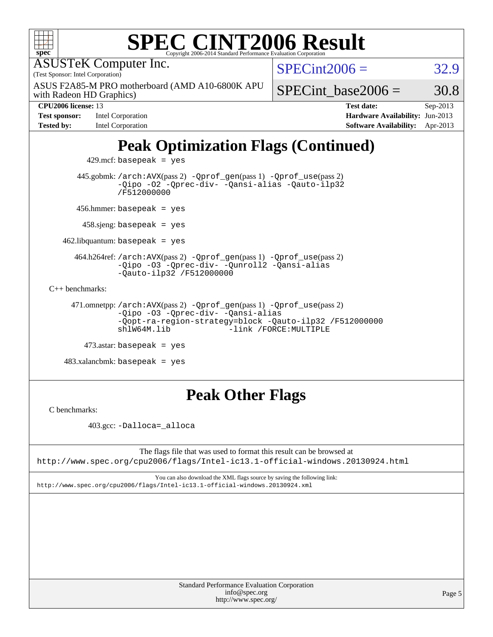| $spec^*$                                                                                                                                               | Copyright 2006-2014 Standard Performance Evaluation Corporation | <b>SPEC CINT2006 Result</b>                                                       |          |  |  |
|--------------------------------------------------------------------------------------------------------------------------------------------------------|-----------------------------------------------------------------|-----------------------------------------------------------------------------------|----------|--|--|
| <b>ASUSTeK Computer Inc.</b><br>(Test Sponsor: Intel Corporation)                                                                                      | $SPECint2006 =$                                                 | 32.9                                                                              |          |  |  |
| ASUS F2A85-M PRO motherboard (AMD A10-6800K APU<br>with Radeon HD Graphics)                                                                            |                                                                 | SPECint base2006 $=$                                                              | 30.8     |  |  |
| CPU2006 license: 13<br>Intel Corporation<br><b>Test sponsor:</b>                                                                                       |                                                                 | <b>Test date:</b><br>Hardware Availability: Jun-2013                              | Sep-2013 |  |  |
| <b>Tested by:</b><br>Intel Corporation                                                                                                                 |                                                                 |                                                                                   |          |  |  |
| 429.mcf: basepeak = $yes$                                                                                                                              |                                                                 | <b>Peak Optimization Flags (Continued)</b>                                        |          |  |  |
| 445.gobmk: /arch: AVX(pass 2) - Qprof_gen(pass 1) - Qprof_use(pass 2)<br>-Qipo -02 -Qprec-div- -Qansi-alias -Qauto-ilp32<br>/F512000000                |                                                                 |                                                                                   |          |  |  |
| 456.hmmer: basepeak = $yes$                                                                                                                            |                                                                 |                                                                                   |          |  |  |
| $458 \text{.}$ sjeng: basepeak = yes                                                                                                                   |                                                                 |                                                                                   |          |  |  |
| $462$ .libquantum: basepeak = yes                                                                                                                      |                                                                 |                                                                                   |          |  |  |
| 464.h264ref: /arch: AVX(pass 2) - Qprof_gen(pass 1) - Qprof_use(pass 2)<br>-Qipo -03 -Qprec-div- -Qunroll2 -Qansi-alias<br>$-$ Qauto-ilp32 /F512000000 |                                                                 |                                                                                   |          |  |  |
| $C_{++}$ benchmarks:                                                                                                                                   |                                                                 |                                                                                   |          |  |  |
| 471.omnetpp://arch:AVX(pass 2) -Qprof_gen(pass 1) -Qprof_use(pass 2)<br>-Qipo -03 -Qprec-div- -Qansi-alias<br>$sh1W64M.1$ ib                           |                                                                 | -Qopt-ra-region-strategy=block -Qauto-ilp32 /F512000000<br>-link /FORCE: MULTIPLE |          |  |  |
| $473$ astar: basepeak = yes                                                                                                                            |                                                                 |                                                                                   |          |  |  |
| $483.xalanchmk: basepeak = yes$                                                                                                                        |                                                                 |                                                                                   |          |  |  |
|                                                                                                                                                        |                                                                 |                                                                                   |          |  |  |

# **[Peak Other Flags](http://www.spec.org/auto/cpu2006/Docs/result-fields.html#PeakOtherFlags)**

[C benchmarks](http://www.spec.org/auto/cpu2006/Docs/result-fields.html#Cbenchmarks):

403.gcc: [-Dalloca=\\_alloca](http://www.spec.org/cpu2006/results/res2014q3/cpu2006-20140630-30100.flags.html#b403.gcc_peakEXTRA_CFLAGS_Dalloca_be3056838c12de2578596ca5467af7f3)

The flags file that was used to format this result can be browsed at <http://www.spec.org/cpu2006/flags/Intel-ic13.1-official-windows.20130924.html>

You can also download the XML flags source by saving the following link: <http://www.spec.org/cpu2006/flags/Intel-ic13.1-official-windows.20130924.xml>